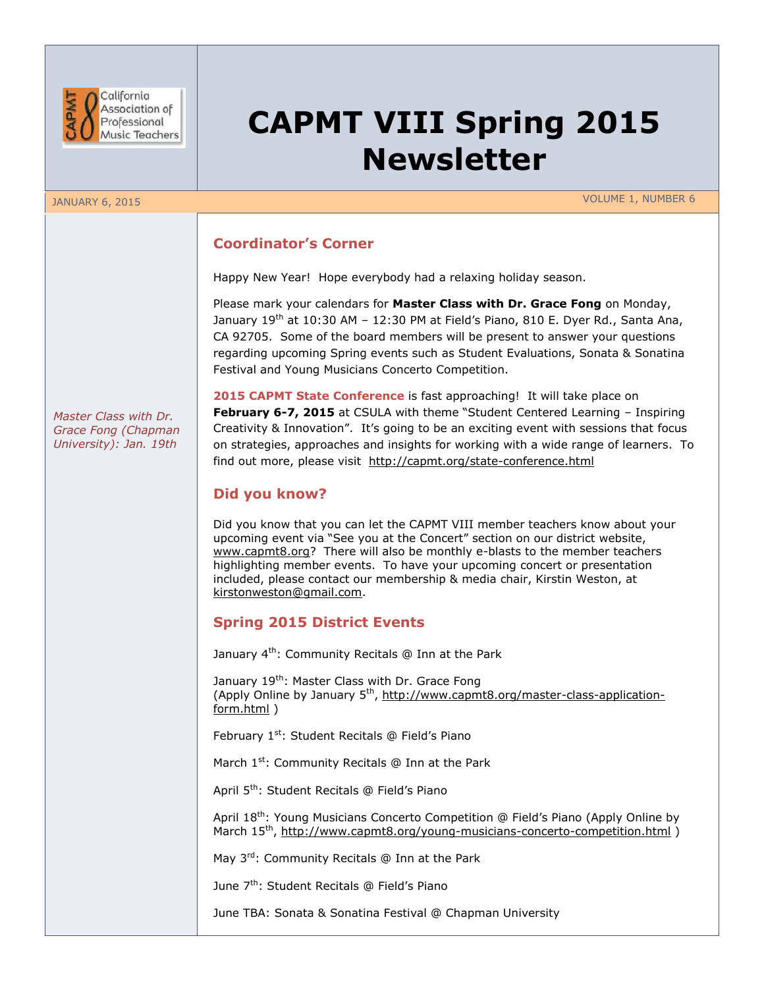

# **CAPMT VIII Spring 2015 Newsletter**

JANUARY 6, 2015 VOLUME 1, NUMBER 6

## **Coordinator's Corner**

Happy New Year! Hope everybody had a relaxing holiday season.

Please mark your calendars for **Master Class with Dr. Grace Fong** on Monday, January 19<sup>th</sup> at 10:30 AM – 12:30 PM at Field's Piano, 810 E. Dyer Rd., Santa Ana, CA 92705. Some of the board members will be present to answer your questions regarding upcoming Spring events such as Student Evaluations, Sonata & Sonatina Festival and Young Musicians Concerto Competition.

*Master Class with Dr. Grace Fong (Chapman University): Jan. 19th*

**2015 CAPMT State Conference** is fast approaching! It will take place on **February 6-7, 2015** at CSULA with theme "Student Centered Learning – Inspiring Creativity & Innovation". It's going to be an exciting event with sessions that focus on strategies, approaches and insights for working with a wide range of learners. To find out more, please visit <http://capmt.org/state-conference.html>

## **Did you know?**

Did you know that you can let the CAPMT VIII member teachers know about your upcoming event via "See you at the Concert" section on our district website, [www.capmt8.org?](http://www.capmt8.org/) There will also be monthly e-blasts to the member teachers highlighting member events. To have your upcoming concert or presentation included, please contact our membership & media chair, Kirstin Weston, at [kirstonweston@gmail.com.](mailto:kirstonweston@gmail.com)

## **Spring 2015 District Events**

January 4<sup>th</sup>: Community Recitals @ Inn at the Park

January 19<sup>th</sup>: Master Class with Dr. Grace Fong (Apply Online by January 5<sup>th</sup>, [http://www.capmt8.org/master-class-application](http://www.capmt8.org/master-class-application-form.html)[form.html](http://www.capmt8.org/master-class-application-form.html) )

February 1<sup>st</sup>: Student Recitals @ Field's Piano

March 1<sup>st</sup>: Community Recitals @ Inn at the Park

April 5<sup>th</sup>: Student Recitals @ Field's Piano

April 18<sup>th</sup>: Young Musicians Concerto Competition @ Field's Piano (Apply Online by March 15<sup>th</sup>,<http://www.capmt8.org/young-musicians-concerto-competition.html>)

May 3rd: Community Recitals @ Inn at the Park

June 7<sup>th</sup>: Student Recitals @ Field's Piano

June TBA: Sonata & Sonatina Festival @ Chapman University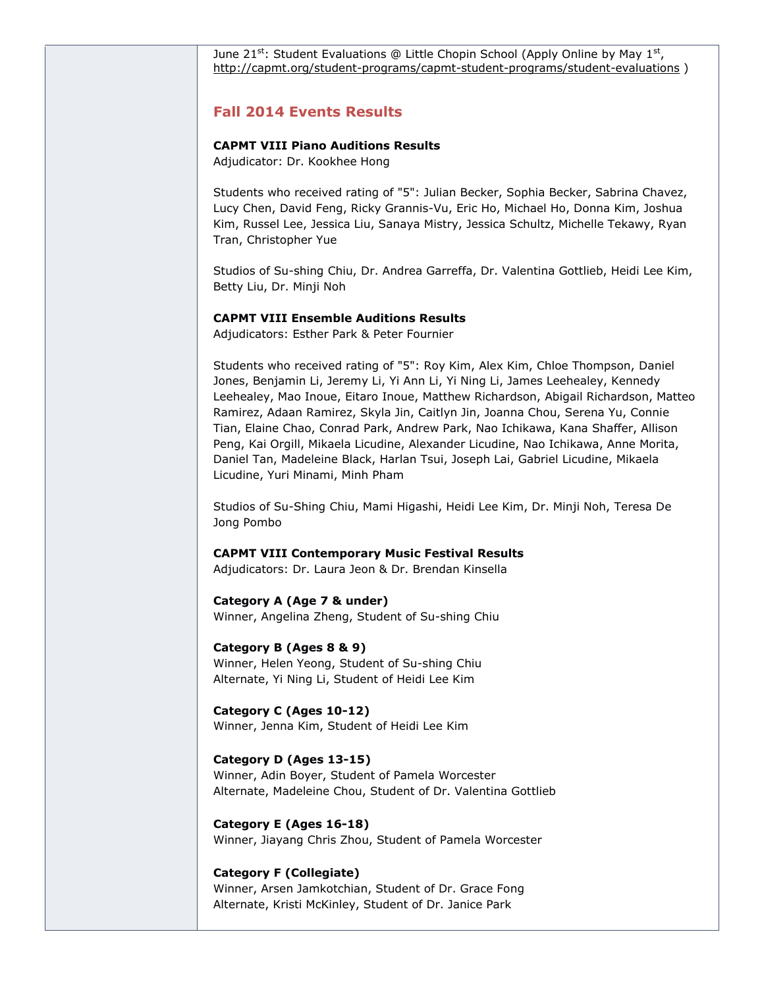June 21<sup>st</sup>: Student Evaluations @ Little Chopin School (Apply Online by May 1<sup>st</sup>, <http://capmt.org/student-programs/capmt-student-programs/student-evaluations> )

## **Fall 2014 Events Results**

## **CAPMT VIII Piano Auditions Results**

Adjudicator: Dr. Kookhee Hong

Students who received rating of "5": Julian Becker, Sophia Becker, Sabrina Chavez, Lucy Chen, David Feng, Ricky Grannis-Vu, Eric Ho, Michael Ho, Donna Kim, Joshua Kim, Russel Lee, Jessica Liu, Sanaya Mistry, Jessica Schultz, Michelle Tekawy, Ryan Tran, Christopher Yue

Studios of Su-shing Chiu, Dr. Andrea Garreffa, Dr. Valentina Gottlieb, Heidi Lee Kim, Betty Liu, Dr. Minji Noh

#### **CAPMT VIII Ensemble Auditions Results**

Adjudicators: Esther Park & Peter Fournier

Students who received rating of "5": Roy Kim, Alex Kim, Chloe Thompson, Daniel Jones, Benjamin Li, Jeremy Li, Yi Ann Li, Yi Ning Li, James Leehealey, Kennedy Leehealey, Mao Inoue, Eitaro Inoue, Matthew Richardson, Abigail Richardson, Matteo Ramirez, Adaan Ramirez, Skyla Jin, Caitlyn Jin, Joanna Chou, Serena Yu, Connie Tian, Elaine Chao, Conrad Park, Andrew Park, Nao Ichikawa, Kana Shaffer, Allison Peng, Kai Orgill, Mikaela Licudine, Alexander Licudine, Nao Ichikawa, Anne Morita, Daniel Tan, Madeleine Black, Harlan Tsui, Joseph Lai, Gabriel Licudine, Mikaela Licudine, Yuri Minami, Minh Pham

Studios of Su-Shing Chiu, Mami Higashi, Heidi Lee Kim, Dr. Minji Noh, Teresa De Jong Pombo

### **CAPMT VIII Contemporary Music Festival Results**

Adjudicators: Dr. Laura Jeon & Dr. Brendan Kinsella

#### **Category A (Age 7 & under)**

Winner, Angelina Zheng, Student of Su-shing Chiu

#### **Category B (Ages 8 & 9)**

Winner, Helen Yeong, Student of Su-shing Chiu Alternate, Yi Ning Li, Student of Heidi Lee Kim

**Category C (Ages 10-12)** Winner, Jenna Kim, Student of Heidi Lee Kim

#### **Category D (Ages 13-15)**

Winner, Adin Boyer, Student of Pamela Worcester Alternate, Madeleine Chou, Student of Dr. Valentina Gottlieb

**Category E (Ages 16-18)** Winner, Jiayang Chris Zhou, Student of Pamela Worcester

#### **Category F (Collegiate)**

Winner, Arsen Jamkotchian, Student of Dr. Grace Fong Alternate, Kristi McKinley, Student of Dr. Janice Park